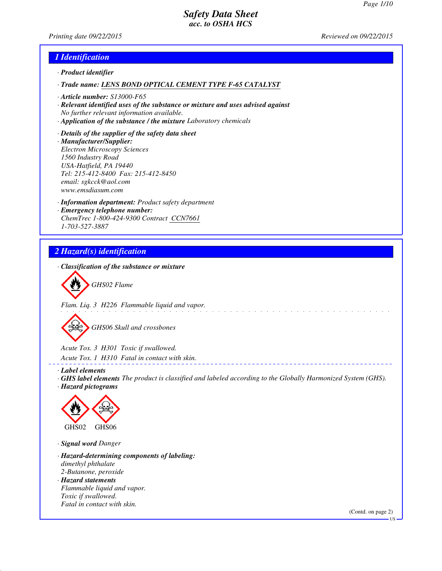*Printing date 09/22/2015 Reviewed on 09/22/2015*

#### *1 Identification*

- *· Product identifier*
- *· Trade name: LENS BOND OPTICAL CEMENT TYPE F-65 CATALYST*
- *· Article number: S13000-F65*
- *· Relevant identified uses of the substance or mixture and uses advised against No further relevant information available.*
- *· Application of the substance / the mixture Laboratory chemicals*
- *· Details of the supplier of the safety data sheet · Manufacturer/Supplier: Electron Microscopy Sciences 1560 Industry Road USA-Hatfield, PA 19440 Tel: 215-412-8400 Fax: 215-412-8450 email: sgkcck@aol.com www.emsdiasum.com*
- *· Information department: Product safety department · Emergency telephone number: ChemTrec 1-800-424-9300 Contract CCN7661 1-703-527-3887*

# *2 Hazard(s) identification*

*· Classification of the substance or mixture*



*Flam. Liq. 3 H226 Flammable liquid and vapor.*

*GHS06 Skull and crossbones*

*Acute Tox. 3 H301 Toxic if swallowed.*

*Acute Tox. 1 H310 Fatal in contact with skin.*

- *· Label elements*
- *· GHS label elements The product is classified and labeled according to the Globally Harmonized System (GHS). · Hazard pictograms*



*· Signal word Danger*

- *· Hazard-determining components of labeling: dimethyl phthalate 2-Butanone, peroxide · Hazard statements Flammable liquid and vapor.*
- *Toxic if swallowed. Fatal in contact with skin.*

(Contd. on page 2)

US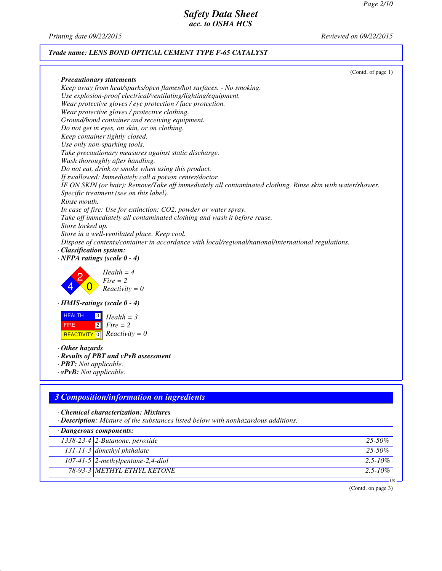*Printing date 09/22/2015 Reviewed on 09/22/2015*

# *Trade name: LENS BOND OPTICAL CEMENT TYPE F-65 CATALYST*

| Keep away from heat/sparks/open flames/hot surfaces. - No smoking.<br>Use explosion-proof electrical/ventilating/lighting/equipment.<br>Wear protective gloves / eye protection / face protection.<br>Wear protective gloves / protective clothing.<br>Ground/bond container and receiving equipment.<br>Do not get in eyes, on skin, or on clothing.<br>Keep container tightly closed.<br>Use only non-sparking tools.<br>Take precautionary measures against static discharge.<br>Wash thoroughly after handling.<br>Do not eat, drink or smoke when using this product.<br>If swallowed: Immediately call a poison center/doctor.<br>IF ON SKIN (or hair): Remove/Take off immediately all contaminated clothing. Rinse skin with water/shower.<br>Specific treatment (see on this label).<br>Rinse mouth.<br>In case of fire: Use for extinction: CO2, powder or water spray.<br>Take off immediately all contaminated clothing and wash it before reuse.<br>Store locked up.<br>Store in a well-ventilated place. Keep cool.<br>Dispose of contents/container in accordance with local/regional/national/international regulations.<br>· Classification system:<br>$\cdot$ NFPA ratings (scale $0 - 4$ )<br>$Health = 4$<br>$Fire = 2$<br>$Reactivity = 0$<br><b>HEALTH</b><br>$\sqrt{3}$<br>$Health = 3$<br> 2 <br><b>FIRE</b><br>$Fire = 2$<br>$Reactivity = 0$<br><b>REACTIVITY</b> 0<br>· PBT: Not applicable.<br>· Chemical characterization: Mixtures |                                                                                    | (Contd. of page 1) |
|------------------------------------------------------------------------------------------------------------------------------------------------------------------------------------------------------------------------------------------------------------------------------------------------------------------------------------------------------------------------------------------------------------------------------------------------------------------------------------------------------------------------------------------------------------------------------------------------------------------------------------------------------------------------------------------------------------------------------------------------------------------------------------------------------------------------------------------------------------------------------------------------------------------------------------------------------------------------------------------------------------------------------------------------------------------------------------------------------------------------------------------------------------------------------------------------------------------------------------------------------------------------------------------------------------------------------------------------------------------------------------------------------------------------------------------------------------------|------------------------------------------------------------------------------------|--------------------|
|                                                                                                                                                                                                                                                                                                                                                                                                                                                                                                                                                                                                                                                                                                                                                                                                                                                                                                                                                                                                                                                                                                                                                                                                                                                                                                                                                                                                                                                                  | · Precautionary statements                                                         |                    |
|                                                                                                                                                                                                                                                                                                                                                                                                                                                                                                                                                                                                                                                                                                                                                                                                                                                                                                                                                                                                                                                                                                                                                                                                                                                                                                                                                                                                                                                                  |                                                                                    |                    |
|                                                                                                                                                                                                                                                                                                                                                                                                                                                                                                                                                                                                                                                                                                                                                                                                                                                                                                                                                                                                                                                                                                                                                                                                                                                                                                                                                                                                                                                                  |                                                                                    |                    |
|                                                                                                                                                                                                                                                                                                                                                                                                                                                                                                                                                                                                                                                                                                                                                                                                                                                                                                                                                                                                                                                                                                                                                                                                                                                                                                                                                                                                                                                                  |                                                                                    |                    |
|                                                                                                                                                                                                                                                                                                                                                                                                                                                                                                                                                                                                                                                                                                                                                                                                                                                                                                                                                                                                                                                                                                                                                                                                                                                                                                                                                                                                                                                                  |                                                                                    |                    |
|                                                                                                                                                                                                                                                                                                                                                                                                                                                                                                                                                                                                                                                                                                                                                                                                                                                                                                                                                                                                                                                                                                                                                                                                                                                                                                                                                                                                                                                                  |                                                                                    |                    |
|                                                                                                                                                                                                                                                                                                                                                                                                                                                                                                                                                                                                                                                                                                                                                                                                                                                                                                                                                                                                                                                                                                                                                                                                                                                                                                                                                                                                                                                                  |                                                                                    |                    |
|                                                                                                                                                                                                                                                                                                                                                                                                                                                                                                                                                                                                                                                                                                                                                                                                                                                                                                                                                                                                                                                                                                                                                                                                                                                                                                                                                                                                                                                                  |                                                                                    |                    |
|                                                                                                                                                                                                                                                                                                                                                                                                                                                                                                                                                                                                                                                                                                                                                                                                                                                                                                                                                                                                                                                                                                                                                                                                                                                                                                                                                                                                                                                                  |                                                                                    |                    |
|                                                                                                                                                                                                                                                                                                                                                                                                                                                                                                                                                                                                                                                                                                                                                                                                                                                                                                                                                                                                                                                                                                                                                                                                                                                                                                                                                                                                                                                                  |                                                                                    |                    |
|                                                                                                                                                                                                                                                                                                                                                                                                                                                                                                                                                                                                                                                                                                                                                                                                                                                                                                                                                                                                                                                                                                                                                                                                                                                                                                                                                                                                                                                                  |                                                                                    |                    |
|                                                                                                                                                                                                                                                                                                                                                                                                                                                                                                                                                                                                                                                                                                                                                                                                                                                                                                                                                                                                                                                                                                                                                                                                                                                                                                                                                                                                                                                                  |                                                                                    |                    |
|                                                                                                                                                                                                                                                                                                                                                                                                                                                                                                                                                                                                                                                                                                                                                                                                                                                                                                                                                                                                                                                                                                                                                                                                                                                                                                                                                                                                                                                                  |                                                                                    |                    |
|                                                                                                                                                                                                                                                                                                                                                                                                                                                                                                                                                                                                                                                                                                                                                                                                                                                                                                                                                                                                                                                                                                                                                                                                                                                                                                                                                                                                                                                                  |                                                                                    |                    |
|                                                                                                                                                                                                                                                                                                                                                                                                                                                                                                                                                                                                                                                                                                                                                                                                                                                                                                                                                                                                                                                                                                                                                                                                                                                                                                                                                                                                                                                                  |                                                                                    |                    |
|                                                                                                                                                                                                                                                                                                                                                                                                                                                                                                                                                                                                                                                                                                                                                                                                                                                                                                                                                                                                                                                                                                                                                                                                                                                                                                                                                                                                                                                                  |                                                                                    |                    |
|                                                                                                                                                                                                                                                                                                                                                                                                                                                                                                                                                                                                                                                                                                                                                                                                                                                                                                                                                                                                                                                                                                                                                                                                                                                                                                                                                                                                                                                                  |                                                                                    |                    |
|                                                                                                                                                                                                                                                                                                                                                                                                                                                                                                                                                                                                                                                                                                                                                                                                                                                                                                                                                                                                                                                                                                                                                                                                                                                                                                                                                                                                                                                                  |                                                                                    |                    |
|                                                                                                                                                                                                                                                                                                                                                                                                                                                                                                                                                                                                                                                                                                                                                                                                                                                                                                                                                                                                                                                                                                                                                                                                                                                                                                                                                                                                                                                                  |                                                                                    |                    |
|                                                                                                                                                                                                                                                                                                                                                                                                                                                                                                                                                                                                                                                                                                                                                                                                                                                                                                                                                                                                                                                                                                                                                                                                                                                                                                                                                                                                                                                                  |                                                                                    |                    |
|                                                                                                                                                                                                                                                                                                                                                                                                                                                                                                                                                                                                                                                                                                                                                                                                                                                                                                                                                                                                                                                                                                                                                                                                                                                                                                                                                                                                                                                                  |                                                                                    |                    |
|                                                                                                                                                                                                                                                                                                                                                                                                                                                                                                                                                                                                                                                                                                                                                                                                                                                                                                                                                                                                                                                                                                                                                                                                                                                                                                                                                                                                                                                                  |                                                                                    |                    |
|                                                                                                                                                                                                                                                                                                                                                                                                                                                                                                                                                                                                                                                                                                                                                                                                                                                                                                                                                                                                                                                                                                                                                                                                                                                                                                                                                                                                                                                                  |                                                                                    |                    |
|                                                                                                                                                                                                                                                                                                                                                                                                                                                                                                                                                                                                                                                                                                                                                                                                                                                                                                                                                                                                                                                                                                                                                                                                                                                                                                                                                                                                                                                                  |                                                                                    |                    |
|                                                                                                                                                                                                                                                                                                                                                                                                                                                                                                                                                                                                                                                                                                                                                                                                                                                                                                                                                                                                                                                                                                                                                                                                                                                                                                                                                                                                                                                                  |                                                                                    |                    |
|                                                                                                                                                                                                                                                                                                                                                                                                                                                                                                                                                                                                                                                                                                                                                                                                                                                                                                                                                                                                                                                                                                                                                                                                                                                                                                                                                                                                                                                                  |                                                                                    |                    |
|                                                                                                                                                                                                                                                                                                                                                                                                                                                                                                                                                                                                                                                                                                                                                                                                                                                                                                                                                                                                                                                                                                                                                                                                                                                                                                                                                                                                                                                                  | $\cdot$ HMIS-ratings (scale $0 - 4$ )                                              |                    |
|                                                                                                                                                                                                                                                                                                                                                                                                                                                                                                                                                                                                                                                                                                                                                                                                                                                                                                                                                                                                                                                                                                                                                                                                                                                                                                                                                                                                                                                                  |                                                                                    |                    |
|                                                                                                                                                                                                                                                                                                                                                                                                                                                                                                                                                                                                                                                                                                                                                                                                                                                                                                                                                                                                                                                                                                                                                                                                                                                                                                                                                                                                                                                                  |                                                                                    |                    |
|                                                                                                                                                                                                                                                                                                                                                                                                                                                                                                                                                                                                                                                                                                                                                                                                                                                                                                                                                                                                                                                                                                                                                                                                                                                                                                                                                                                                                                                                  |                                                                                    |                    |
|                                                                                                                                                                                                                                                                                                                                                                                                                                                                                                                                                                                                                                                                                                                                                                                                                                                                                                                                                                                                                                                                                                                                                                                                                                                                                                                                                                                                                                                                  |                                                                                    |                    |
|                                                                                                                                                                                                                                                                                                                                                                                                                                                                                                                                                                                                                                                                                                                                                                                                                                                                                                                                                                                                                                                                                                                                                                                                                                                                                                                                                                                                                                                                  | $\cdot$ Other hazards                                                              |                    |
|                                                                                                                                                                                                                                                                                                                                                                                                                                                                                                                                                                                                                                                                                                                                                                                                                                                                                                                                                                                                                                                                                                                                                                                                                                                                                                                                                                                                                                                                  | · Results of PBT and vPvB assessment                                               |                    |
|                                                                                                                                                                                                                                                                                                                                                                                                                                                                                                                                                                                                                                                                                                                                                                                                                                                                                                                                                                                                                                                                                                                                                                                                                                                                                                                                                                                                                                                                  |                                                                                    |                    |
|                                                                                                                                                                                                                                                                                                                                                                                                                                                                                                                                                                                                                                                                                                                                                                                                                                                                                                                                                                                                                                                                                                                                                                                                                                                                                                                                                                                                                                                                  | $\cdot v$ PvB: Not applicable.                                                     |                    |
|                                                                                                                                                                                                                                                                                                                                                                                                                                                                                                                                                                                                                                                                                                                                                                                                                                                                                                                                                                                                                                                                                                                                                                                                                                                                                                                                                                                                                                                                  |                                                                                    |                    |
|                                                                                                                                                                                                                                                                                                                                                                                                                                                                                                                                                                                                                                                                                                                                                                                                                                                                                                                                                                                                                                                                                                                                                                                                                                                                                                                                                                                                                                                                  |                                                                                    |                    |
|                                                                                                                                                                                                                                                                                                                                                                                                                                                                                                                                                                                                                                                                                                                                                                                                                                                                                                                                                                                                                                                                                                                                                                                                                                                                                                                                                                                                                                                                  | <b>3 Composition/information on ingredients</b>                                    |                    |
|                                                                                                                                                                                                                                                                                                                                                                                                                                                                                                                                                                                                                                                                                                                                                                                                                                                                                                                                                                                                                                                                                                                                                                                                                                                                                                                                                                                                                                                                  |                                                                                    |                    |
|                                                                                                                                                                                                                                                                                                                                                                                                                                                                                                                                                                                                                                                                                                                                                                                                                                                                                                                                                                                                                                                                                                                                                                                                                                                                                                                                                                                                                                                                  | · Description: Mixture of the substances listed below with nonhazardous additions. |                    |

| <b>Description,</b> miximit of the substances histed below with homita <sub>s</sub> and as data homis. |                                             |              |  |
|--------------------------------------------------------------------------------------------------------|---------------------------------------------|--------------|--|
| · Dangerous components:                                                                                |                                             |              |  |
|                                                                                                        | $\overline{1338.23.4}$ 2-Butanone, peroxide | $25 - 50\%$  |  |
|                                                                                                        | $131 - 11 - 3$ dimethyl phthalate           | $25 - 50\%$  |  |
|                                                                                                        | $107-41-5$ 2-methylpentane-2,4-diol         | $2.5 - 10\%$ |  |
|                                                                                                        | 78-93-3 METHYL ETHYL KETONE                 | $2.5 - 10\%$ |  |
|                                                                                                        |                                             |              |  |

(Contd. on page 3)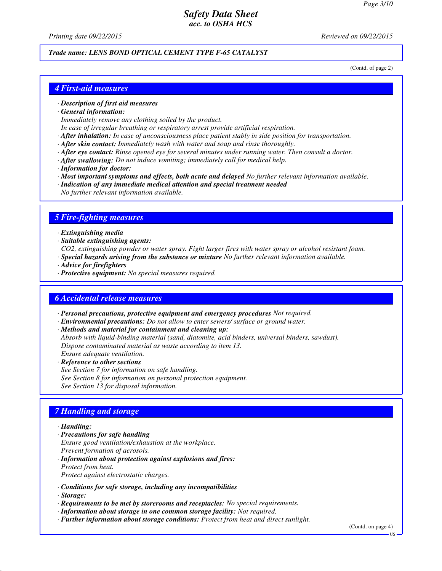*Printing date 09/22/2015 Reviewed on 09/22/2015*

# *Trade name: LENS BOND OPTICAL CEMENT TYPE F-65 CATALYST*

(Contd. of page 2)

#### *4 First-aid measures*

#### *· Description of first aid measures*

*· General information:*

*Immediately remove any clothing soiled by the product.*

- *In case of irregular breathing or respiratory arrest provide artificial respiration.*
- *· After inhalation: In case of unconsciousness place patient stably in side position for transportation.*
- *· After skin contact: Immediately wash with water and soap and rinse thoroughly.*
- *· After eye contact: Rinse opened eye for several minutes under running water. Then consult a doctor.*
- *· After swallowing: Do not induce vomiting; immediately call for medical help.*
- *· Information for doctor:*
- *· Most important symptoms and effects, both acute and delayed No further relevant information available.*
- *· Indication of any immediate medical attention and special treatment needed*
- *No further relevant information available.*

#### *5 Fire-fighting measures*

- *· Extinguishing media*
- *· Suitable extinguishing agents:*
- *CO2, extinguishing powder or water spray. Fight larger fires with water spray or alcohol resistant foam.*
- *· Special hazards arising from the substance or mixture No further relevant information available.*
- *· Advice for firefighters*
- *· Protective equipment: No special measures required.*

#### *6 Accidental release measures*

- *· Personal precautions, protective equipment and emergency procedures Not required.*
- *· Environmental precautions: Do not allow to enter sewers/ surface or ground water.*
- *· Methods and material for containment and cleaning up:*
- *Absorb with liquid-binding material (sand, diatomite, acid binders, universal binders, sawdust). Dispose contaminated material as waste according to item 13.*
- *Ensure adequate ventilation. · Reference to other sections*
- *See Section 7 for information on safe handling.*
- *See Section 8 for information on personal protection equipment.*
- *See Section 13 for disposal information.*

#### *7 Handling and storage*

#### *· Handling:*

- *· Precautions for safe handling*
- *Ensure good ventilation/exhaustion at the workplace.*
- *Prevent formation of aerosols.*
- *· Information about protection against explosions and fires: Protect from heat.*
- *Protect against electrostatic charges.*
- *· Conditions for safe storage, including any incompatibilities*
- *· Storage:*
- *· Requirements to be met by storerooms and receptacles: No special requirements.*
- *· Information about storage in one common storage facility: Not required.*
- *· Further information about storage conditions: Protect from heat and direct sunlight.*

(Contd. on page 4)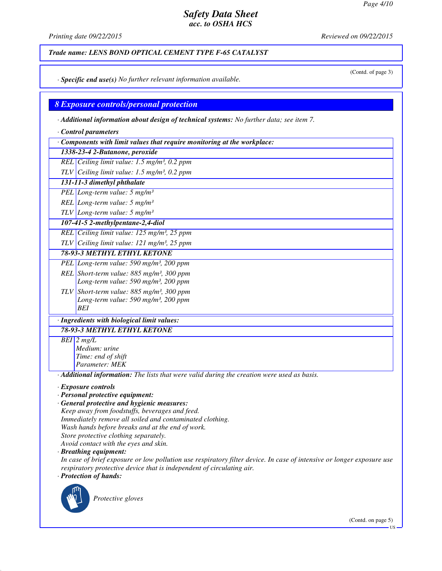*Printing date 09/22/2015 Reviewed on 09/22/2015*

*Trade name: LENS BOND OPTICAL CEMENT TYPE F-65 CATALYST*

(Contd. of page 3)

*· Specific end use(s) No further relevant information available.*

*8 Exposure controls/personal protection*

*· Additional information about design of technical systems: No further data; see item 7.*

- *· Control parameters*
- *· Components with limit values that require monitoring at the workplace:*

*1338-23-4 2-Butanone, peroxide*

*REL Ceiling limit value: 1.5 mg/m³, 0.2 ppm*

*TLV Ceiling limit value: 1.5 mg/m³, 0.2 ppm*

*131-11-3 dimethyl phthalate*

*PEL Long-term value: 5 mg/m³*

*REL Long-term value: 5 mg/m³*

*TLV Long-term value: 5 mg/m³*

*107-41-5 2-methylpentane-2,4-diol*

*REL Ceiling limit value: 125 mg/m³, 25 ppm*

*TLV Ceiling limit value: 121 mg/m³, 25 ppm*

*78-93-3 METHYL ETHYL KETONE*

- *PEL Long-term value: 590 mg/m³, 200 ppm REL Short-term value: 885 mg/m³, 300 ppm*
	- *Long-term value: 590 mg/m³, 200 ppm*
- *TLV Short-term value: 885 mg/m³, 300 ppm Long-term value: 590 mg/m³, 200 ppm BEI*

# *· Ingredients with biological limit values:*

*78-93-3 METHYL ETHYL KETONE*

*BEI 2 mg/L Medium: urine Time: end of shift*

*Parameter: MEK*

*· Additional information: The lists that were valid during the creation were used as basis.*

*· Exposure controls*

- *· Personal protective equipment:*
- *· General protective and hygienic measures: Keep away from foodstuffs, beverages and feed. Immediately remove all soiled and contaminated clothing.*
- *Wash hands before breaks and at the end of work.*
- *Store protective clothing separately.*

*Avoid contact with the eyes and skin.*

*· Breathing equipment:*

*In case of brief exposure or low pollution use respiratory filter device. In case of intensive or longer exposure use respiratory protective device that is independent of circulating air. · Protection of hands:*



*Protective gloves*

(Contd. on page 5)

US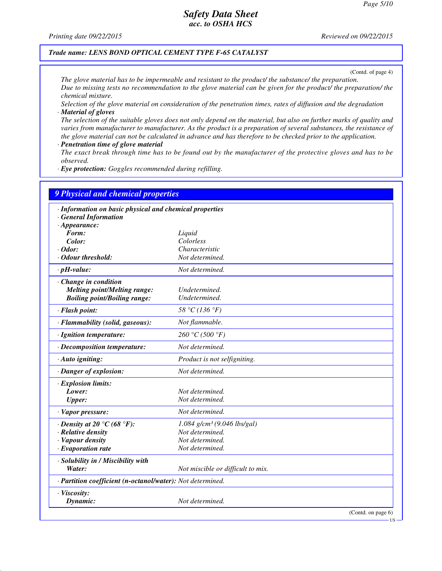*Printing date 09/22/2015 Reviewed on 09/22/2015*

#### *Trade name: LENS BOND OPTICAL CEMENT TYPE F-65 CATALYST*

(Contd. of page 4)

*The glove material has to be impermeable and resistant to the product/ the substance/ the preparation. Due to missing tests no recommendation to the glove material can be given for the product/ the preparation/ the chemical mixture.*

*Selection of the glove material on consideration of the penetration times, rates of diffusion and the degradation · Material of gloves*

*The selection of the suitable gloves does not only depend on the material, but also on further marks of quality and varies from manufacturer to manufacturer. As the product is a preparation of several substances, the resistance of the glove material can not be calculated in advance and has therefore to be checked prior to the application.*

*· Penetration time of glove material*

*The exact break through time has to be found out by the manufacturer of the protective gloves and has to be observed.*

*· Eye protection: Goggles recommended during refilling.*

| <b>9 Physical and chemical properties</b>                  |                                           |                       |
|------------------------------------------------------------|-------------------------------------------|-----------------------|
| · Information on basic physical and chemical properties    |                                           |                       |
| · General Information                                      |                                           |                       |
| $\cdot$ Appearance:                                        |                                           |                       |
| Form:                                                      | Liquid                                    |                       |
| Color:                                                     | Colorless                                 |                       |
| $\cdot$ Odor:                                              | Characteristic                            |                       |
| · Odour threshold:                                         | Not determined.                           |                       |
| $\cdot$ pH-value:                                          | Not determined.                           |                       |
| · Change in condition                                      |                                           |                       |
| <b>Melting point/Melting range:</b>                        | Undetermined.                             |                       |
| <b>Boiling point/Boiling range:</b>                        | Undetermined.                             |                       |
| · Flash point:                                             | 58 °C (136 °F)                            |                       |
| · Flammability (solid, gaseous):                           | Not flammable.                            |                       |
| · Ignition temperature:                                    | 260 °C (500 °F)                           |                       |
| · Decomposition temperature:                               | Not determined.                           |                       |
| · Auto igniting:                                           | Product is not selfigniting.              |                       |
| · Danger of explosion:                                     | Not determined.                           |                       |
| · Explosion limits:                                        |                                           |                       |
| Lower:                                                     | Not determined.                           |                       |
| <b>Upper:</b>                                              | Not determined.                           |                       |
| · Vapor pressure:                                          | Not determined.                           |                       |
| $\cdot$ Density at 20 °C (68 °F):                          | $1.084$ g/cm <sup>3</sup> (9.046 lbs/gal) |                       |
| $\cdot$ Relative density                                   | Not determined.                           |                       |
| · Vapour density                                           | Not determined.                           |                       |
| $\cdot$ Evaporation rate                                   | Not determined.                           |                       |
| · Solubility in / Miscibility with                         |                                           |                       |
| Water:                                                     | Not miscible or difficult to mix.         |                       |
| · Partition coefficient (n-octanol/water): Not determined. |                                           |                       |
| · Viscosity:                                               |                                           |                       |
| Dynamic:                                                   | Not determined.                           |                       |
|                                                            |                                           | (Contd. on page $6$ ) |

US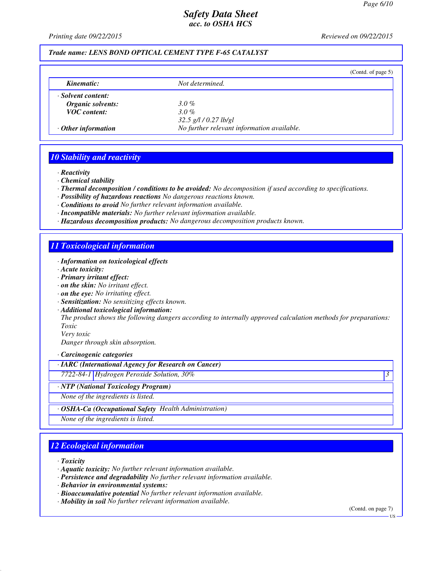*Printing date 09/22/2015 Reviewed on 09/22/2015*

#### *Trade name: LENS BOND OPTICAL CEMENT TYPE F-65 CATALYST*

|                           |                                            | (Contd. of page $5$ ) |
|---------------------------|--------------------------------------------|-----------------------|
| Kinematic:                | Not determined.                            |                       |
| · Solvent content:        |                                            |                       |
| Organic solvents:         | $3.0\%$                                    |                       |
| <b>VOC</b> content:       | 3.0%                                       |                       |
|                           | $32.5$ g/l / 0.27 lb/gl                    |                       |
| $\cdot$ Other information | No further relevant information available. |                       |

#### *10 Stability and reactivity*

*· Reactivity*

*· Chemical stability*

*· Thermal decomposition / conditions to be avoided: No decomposition if used according to specifications.*

- *· Possibility of hazardous reactions No dangerous reactions known.*
- *· Conditions to avoid No further relevant information available.*
- *· Incompatible materials: No further relevant information available.*
- *· Hazardous decomposition products: No dangerous decomposition products known.*

#### *11 Toxicological information*

- *· Information on toxicological effects*
- *· Acute toxicity:*
- *· Primary irritant effect:*
- *· on the skin: No irritant effect.*
- *· on the eye: No irritating effect.*
- *· Sensitization: No sensitizing effects known.*
- *· Additional toxicological information:*

*The product shows the following dangers according to internally approved calculation methods for preparations: Toxic*

*Very toxic Danger through skin absorption.*

*· Carcinogenic categories*

*· IARC (International Agency for Research on Cancer)*

*7722-84-1 Hydrogen Peroxide Solution, 30% 3* 

*· NTP (National Toxicology Program)*

*None of the ingredients is listed.*

*· OSHA-Ca (Occupational Safety Health Administration)*

*None of the ingredients is listed.*

# *12 Ecological information*

*· Toxicity*

- *· Aquatic toxicity: No further relevant information available.*
- *· Persistence and degradability No further relevant information available.*
- *· Behavior in environmental systems:*
- *· Bioaccumulative potential No further relevant information available.*
- *· Mobility in soil No further relevant information available.*

(Contd. on page 7)

US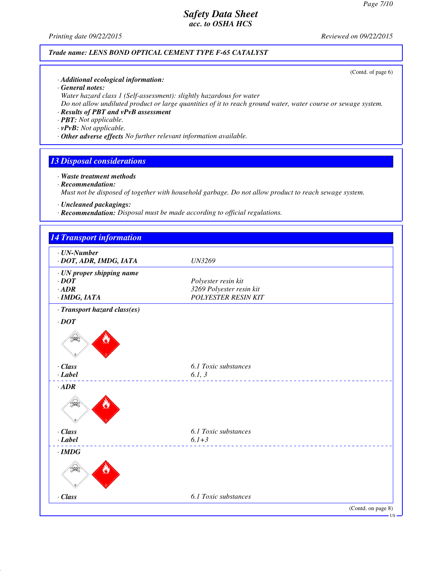*Printing date 09/22/2015 Reviewed on 09/22/2015*

#### *Trade name: LENS BOND OPTICAL CEMENT TYPE F-65 CATALYST*

(Contd. of page 6)

- *· Additional ecological information:*
- *· General notes:*
- *Water hazard class 1 (Self-assessment): slightly hazardous for water*
- *Do not allow undiluted product or large quantities of it to reach ground water, water course or sewage system.*
- *· Results of PBT and vPvB assessment*
- *· PBT: Not applicable.*
- *· vPvB: Not applicable.*
- *· Other adverse effects No further relevant information available.*

#### *13 Disposal considerations*

- *· Waste treatment methods · Recommendation: Must not be disposed of together with household garbage. Do not allow product to reach sewage system.*
- *· Uncleaned packagings:*
- *· Recommendation: Disposal must be made according to official regulations.*

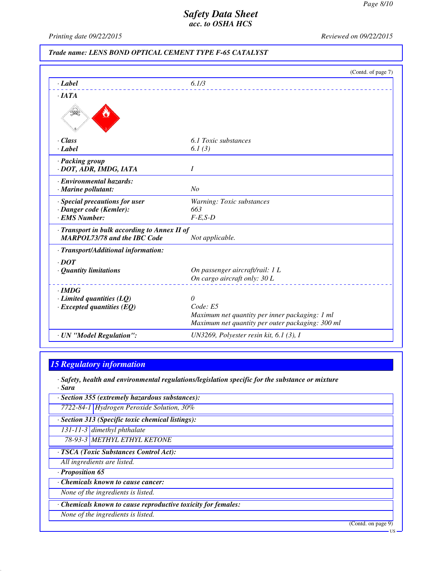*Printing date 09/22/2015 Reviewed on 09/22/2015*

#### *Trade name: LENS BOND OPTICAL CEMENT TYPE F-65 CATALYST*

|                                              | (Contd. of page 7)                               |
|----------------------------------------------|--------------------------------------------------|
| $\cdot$ <i>Label</i>                         | 6.1/3                                            |
| $\cdot$ IATA                                 |                                                  |
|                                              |                                                  |
| $\cdot$ Class                                | 6.1 Toxic substances                             |
| $\cdot$ <i>Label</i>                         | 6.1(3)                                           |
| · Packing group<br>· DOT, ADR, IMDG, IATA    | I                                                |
| · Environmental hazards:                     |                                                  |
| · Marine pollutant:                          | No                                               |
| · Special precautions for user               | Warning: Toxic substances                        |
| · Danger code (Kemler):                      | 663                                              |
| · EMS Number:                                | $F-E.S-D$                                        |
| · Transport in bulk according to Annex II of |                                                  |
| <b>MARPOL73/78 and the IBC Code</b>          | Not applicable.                                  |
| · Transport/Additional information:          |                                                  |
| $\cdot$ DOT                                  |                                                  |
| $\cdot$ Quantity limitations                 | On passenger aircraft/rail: 1 L                  |
|                                              | On cargo aircraft only: 30 L                     |
| $\cdot$ IMDG                                 |                                                  |
| $\cdot$ Limited quantities (LQ)              | $\theta$                                         |
| $\cdot$ Excepted quantities (EQ)             | Code: E5                                         |
|                                              | Maximum net quantity per inner packaging: 1 ml   |
|                                              | Maximum net quantity per outer packaging: 300 ml |
| · UN "Model Regulation":                     | UN3269, Polyester resin kit, $6.1$ (3), I        |

#### *15 Regulatory information*

*· Safety, health and environmental regulations/legislation specific for the substance or mixture · Sara*

- *· Section 355 (extremely hazardous substances):*
	- *7722-84-1 Hydrogen Peroxide Solution, 30%*
- *· Section 313 (Specific toxic chemical listings):*
- *131-11-3 dimethyl phthalate*
- *78-93-3 METHYL ETHYL KETONE*
- *· TSCA (Toxic Substances Control Act):*
- *All ingredients are listed.*
- *· Proposition 65*
- *· Chemicals known to cause cancer:*
- *None of the ingredients is listed.*
- *· Chemicals known to cause reproductive toxicity for females:*
- *None of the ingredients is listed.*

(Contd. on page 9)

US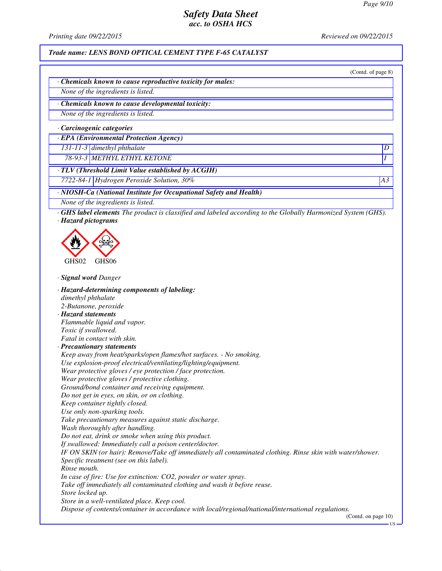*Printing date 09/22/2015 Reviewed on 09/22/2015*

*Trade name: LENS BOND OPTICAL CEMENT TYPE F-65 CATALYST*

(Contd. of page 8)

*· Chemicals known to cause reproductive toxicity for males:*

*None of the ingredients is listed.*

*· Chemicals known to cause developmental toxicity:*

*None of the ingredients is listed.*

*· Carcinogenic categories*

*· EPA (Environmental Protection Agency)*

*131-11-3 dimethyl phthalate D* 

*78-93-3 METHYL ETHYL KETONE I* 

*· TLV (Threshold Limit Value established by ACGIH)*

*7722-84-1 Hydrogen Peroxide Solution, 30% A3*

*· NIOSH-Ca (National Institute for Occupational Safety and Health)*

*None of the ingredients is listed.*

*· GHS label elements The product is classified and labeled according to the Globally Harmonized System (GHS). · Hazard pictograms*



*· Signal word Danger*

*· Hazard-determining components of labeling: dimethyl phthalate 2-Butanone, peroxide · Hazard statements Flammable liquid and vapor. Toxic if swallowed. Fatal in contact with skin. · Precautionary statements Keep away from heat/sparks/open flames/hot surfaces. - No smoking. Use explosion-proof electrical/ventilating/lighting/equipment. Wear protective gloves / eye protection / face protection. Wear protective gloves / protective clothing. Ground/bond container and receiving equipment. Do not get in eyes, on skin, or on clothing. Keep container tightly closed. Use only non-sparking tools. Take precautionary measures against static discharge. Wash thoroughly after handling. Do not eat, drink or smoke when using this product. If swallowed: Immediately call a poison center/doctor. IF ON SKIN (or hair): Remove/Take off immediately all contaminated clothing. Rinse skin with water/shower. Specific treatment (see on this label). Rinse mouth. In case of fire: Use for extinction: CO2, powder or water spray. Take off immediately all contaminated clothing and wash it before reuse. Store locked up. Store in a well-ventilated place. Keep cool. Dispose of contents/container in accordance with local/regional/national/international regulations.* (Contd. on page 10)